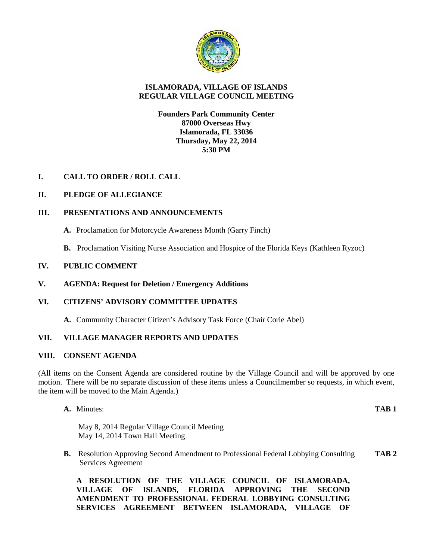

# **ISLAMORADA, VILLAGE OF ISLANDS REGULAR VILLAGE COUNCIL MEETING**

## **Founders Park Community Center 87000 Overseas Hwy Islamorada, FL 33036 Thursday, May 22, 2014 5:30 PM**

# **I. CALL TO ORDER / ROLL CALL**

## **II. PLEDGE OF ALLEGIANCE**

## **III. PRESENTATIONS AND ANNOUNCEMENTS**

- **A.** Proclamation for Motorcycle Awareness Month (Garry Finch)
- **B.** Proclamation Visiting Nurse Association and Hospice of the Florida Keys (Kathleen Ryzoc)

## **IV. PUBLIC COMMENT**

**V. AGENDA: Request for Deletion / Emergency Additions**

## **VI. CITIZENS' ADVISORY COMMITTEE UPDATES**

**A.** Community Character Citizen's Advisory Task Force (Chair Corie Abel)

# **VII. VILLAGE MANAGER REPORTS AND UPDATES**

## **VIII. CONSENT AGENDA**

(All items on the Consent Agenda are considered routine by the Village Council and will be approved by one motion. There will be no separate discussion of these items unless a Councilmember so requests, in which event, the item will be moved to the Main Agenda.)

**A.** Minutes: **TAB 1**

May 8, 2014 Regular Village Council Meeting May 14, 2014 Town Hall Meeting

**B.** Resolution Approving Second Amendment to Professional Federal Lobbying Consulting **TAB 2** Services Agreement

**A RESOLUTION OF THE VILLAGE COUNCIL OF ISLAMORADA, VILLAGE OF ISLANDS, FLORIDA APPROVING THE SECOND AMENDMENT TO PROFESSIONAL FEDERAL LOBBYING CONSULTING SERVICES AGREEMENT BETWEEN ISLAMORADA, VILLAGE OF**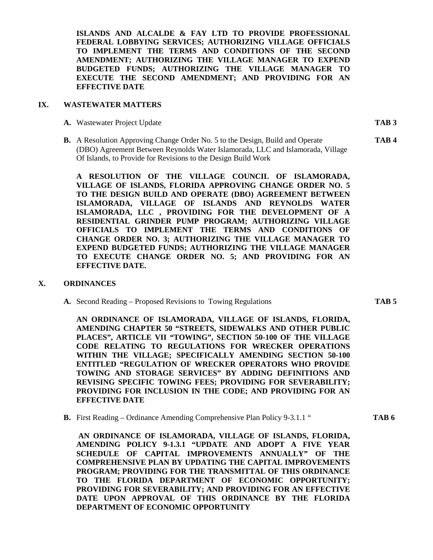**ISLANDS AND ALCALDE & FAY LTD TO PROVIDE PROFESSIONAL FEDERAL LOBBYING SERVICES; AUTHORIZING VILLAGE OFFICIALS TO IMPLEMENT THE TERMS AND CONDITIONS OF THE SECOND AMENDMENT; AUTHORIZING THE VILLAGE MANAGER TO EXPEND BUDGETED FUNDS; AUTHORIZING THE VILLAGE MANAGER TO EXECUTE THE SECOND AMENDMENT; AND PROVIDING FOR AN EFFECTIVE DATE**

#### **IX. WASTEWATER MATTERS**

**A.** Wastewater Project Update **TAB 3**

**B.** A Resolution Approving Change Order No. 5 to the Design, Build and Operate **TAB 4** (DBO) Agreement Between Reynolds Water Islamorada, LLC and Islamorada, Village Of Islands, to Provide for Revisions to the Design Build Work

**A RESOLUTION OF THE VILLAGE COUNCIL OF ISLAMORADA, VILLAGE OF ISLANDS, FLORIDA APPROVING CHANGE ORDER NO. 5 TO THE DESIGN BUILD AND OPERATE (DBO) AGREEMENT BETWEEN ISLAMORADA, VILLAGE OF ISLANDS AND REYNOLDS WATER ISLAMORADA, LLC , PROVIDING FOR THE DEVELOPMENT OF A RESIDENTIAL GRINDER PUMP PROGRAM; AUTHORIZING VILLAGE OFFICIALS TO IMPLEMENT THE TERMS AND CONDITIONS OF CHANGE ORDER NO. 3; AUTHORIZING THE VILLAGE MANAGER TO EXPEND BUDGETED FUNDS; AUTHORIZING THE VILLAGE MANAGER TO EXECUTE CHANGE ORDER NO. 5; AND PROVIDING FOR AN EFFECTIVE DATE.**

#### **X. ORDINANCES**

**A.** Second Reading – Proposed Revisions to Towing Regulations **TAB 5**

**AN ORDINANCE OF ISLAMORADA, VILLAGE OF ISLANDS, FLORIDA, AMENDING CHAPTER 50 "STREETS, SIDEWALKS AND OTHER PUBLIC PLACES", ARTICLE VII "TOWING", SECTION 50-100 OF THE VILLAGE CODE RELATING TO REGULATIONS FOR WRECKER OPERATIONS WITHIN THE VILLAGE; SPECIFICALLY AMENDING SECTION 50-100 ENTITLED "REGULATION OF WRECKER OPERATORS WHO PROVIDE TOWING AND STORAGE SERVICES" BY ADDING DEFINITIONS AND REVISING SPECIFIC TOWING FEES; PROVIDING FOR SEVERABILITY; PROVIDING FOR INCLUSION IN THE CODE; AND PROVIDING FOR AN EFFECTIVE DATE**

**B.** First Reading – Ordinance Amending Comprehensive Plan Policy 9-3.1.1 " **TAB 6**

**AN ORDINANCE OF ISLAMORADA, VILLAGE OF ISLANDS, FLORIDA, AMENDING POLICY 9-1.3.1 "UPDATE AND ADOPT A FIVE YEAR SCHEDULE OF CAPITAL IMPROVEMENTS ANNUALLY" OF THE COMPREHENSIVE PLAN BY UPDATING THE CAPITAL IMPROVEMENTS PROGRAM; PROVIDING FOR THE TRANSMITTAL OF THIS ORDINANCE TO THE FLORIDA DEPARTMENT OF ECONOMIC OPPORTUNITY; PROVIDING FOR SEVERABILITY; AND PROVIDING FOR AN EFFECTIVE DATE UPON APPROVAL OF THIS ORDINANCE BY THE FLORIDA DEPARTMENT OF ECONOMIC OPPORTUNITY**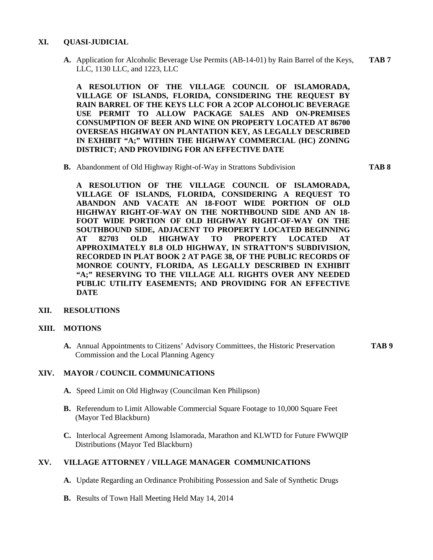## **XI. QUASI-JUDICIAL**

**A.** Application for Alcoholic Beverage Use Permits (AB-14-01) by Rain Barrel of the Keys, **TAB 7** LLC, 1130 LLC, and 1223, LLC

**A RESOLUTION OF THE VILLAGE COUNCIL OF ISLAMORADA, VILLAGE OF ISLANDS, FLORIDA, CONSIDERING THE REQUEST BY RAIN BARREL OF THE KEYS LLC FOR A 2COP ALCOHOLIC BEVERAGE USE PERMIT TO ALLOW PACKAGE SALES AND ON-PREMISES CONSUMPTION OF BEER AND WINE ON PROPERTY LOCATED AT 86700 OVERSEAS HIGHWAY ON PLANTATION KEY, AS LEGALLY DESCRIBED IN EXHIBIT "A;" WITHIN THE HIGHWAY COMMERCIAL (HC) ZONING DISTRICT; AND PROVIDING FOR AN EFFECTIVE DATE**

**B.** Abandonment of Old Highway Right-of-Way in Strattons Subdivision **TAB 8**

**A RESOLUTION OF THE VILLAGE COUNCIL OF ISLAMORADA, VILLAGE OF ISLANDS, FLORIDA, CONSIDERING A REQUEST TO ABANDON AND VACATE AN 18-FOOT WIDE PORTION OF OLD HIGHWAY RIGHT-OF-WAY ON THE NORTHBOUND SIDE AND AN 18- FOOT WIDE PORTION OF OLD HIGHWAY RIGHT-OF-WAY ON THE SOUTHBOUND SIDE, ADJACENT TO PROPERTY LOCATED BEGINNING AT 82703 OLD HIGHWAY TO PROPERTY LOCATED AT APPROXIMATELY 81.8 OLD HIGHWAY, IN STRATTON'S SUBDIVISION, RECORDED IN PLAT BOOK 2 AT PAGE 38, OF THE PUBLIC RECORDS OF MONROE COUNTY, FLORIDA, AS LEGALLY DESCRIBED IN EXHIBIT "A;" RESERVING TO THE VILLAGE ALL RIGHTS OVER ANY NEEDED PUBLIC UTILITY EASEMENTS; AND PROVIDING FOR AN EFFECTIVE DATE**

## **XII. RESOLUTIONS**

### **XIII. MOTIONS**

**A.** Annual Appointments to Citizens' Advisory Committees, the Historic Preservation **TAB 9** Commission and the Local Planning Agency

## **XIV. MAYOR / COUNCIL COMMUNICATIONS**

- **A.** Speed Limit on Old Highway (Councilman Ken Philipson)
- **B.** Referendum to Limit Allowable Commercial Square Footage to 10,000 Square Feet (Mayor Ted Blackburn)
- **C.** Interlocal Agreement Among Islamorada, Marathon and KLWTD for Future FWWQIP Distributions (Mayor Ted Blackburn)

## **XV. VILLAGE ATTORNEY / VILLAGE MANAGER COMMUNICATIONS**

- **A.** Update Regarding an Ordinance Prohibiting Possession and Sale of Synthetic Drugs
- **B.** Results of Town Hall Meeting Held May 14, 2014